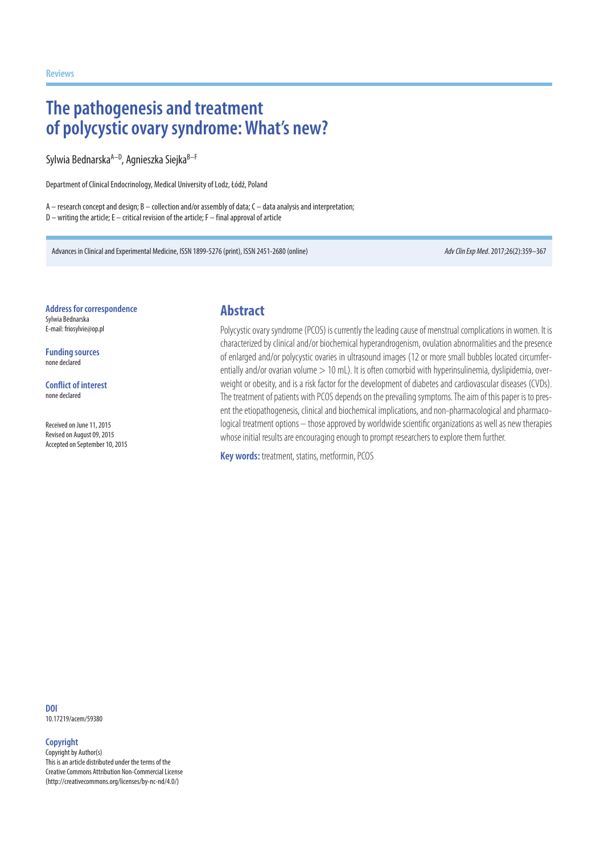# **The pathogenesis and treatment of polycystic ovary syndrome: What's new?**

Sylwia Bednarska<sup>A–D</sup>, Agnieszka Siejka<sup>B–F</sup>

Department of Clinical Endocrinology, Medical University of Lodz, Łódź, Poland

A – research concept and design; B – collection and/or assembly of data; C – data analysis and interpretation; D – writing the article; E – critical revision of the article; F – final approval of article

Advances in Clinical and Experimental Medicine, ISSN 1899-5276 (print), ISSN 2451-2680 (online) *Adv Clin Exp Med*. 2017;26(2):359–367

**Address for correspondence** Sylwia Bednarska E-mail: friosylvie@op.pl

**Funding sources** none declared

**Conflict of interest** none declared

Received on June 11, 2015 Revised on August 09, 2015 Accepted on September 10, 2015

### **Abstract**

Polycystic ovary syndrome (PCOS) is currently the leading cause of menstrual complications in women. It is characterized by clinical and/or biochemical hyperandrogenism, ovulation abnormalities and the presence of enlarged and/or polycystic ovaries in ultrasound images (12 or more small bubbles located circumferentially and/or ovarian volume > 10 mL). It is often comorbid with hyperinsulinemia, dyslipidemia, overweight or obesity, and is a risk factor for the development of diabetes and cardiovascular diseases (CVDs). The treatment of patients with PCOS depends on the prevailing symptoms. The aim of this paper is to present the etiopathogenesis, clinical and biochemical implications, and non-pharmacological and pharmacological treatment options – those approved by worldwide scientific organizations as well as new therapies whose initial results are encouraging enough to prompt researchers to explore them further.

**Key words:** treatment, statins, metformin, PCOS

**DOI** 10.17219/acem/59380

#### **Copyright**

Copyright by Author(s) This is an article distributed under the terms of the Creative Commons Attribution Non-Commercial License (http://creativecommons.org/licenses/by-nc-nd/4.0/)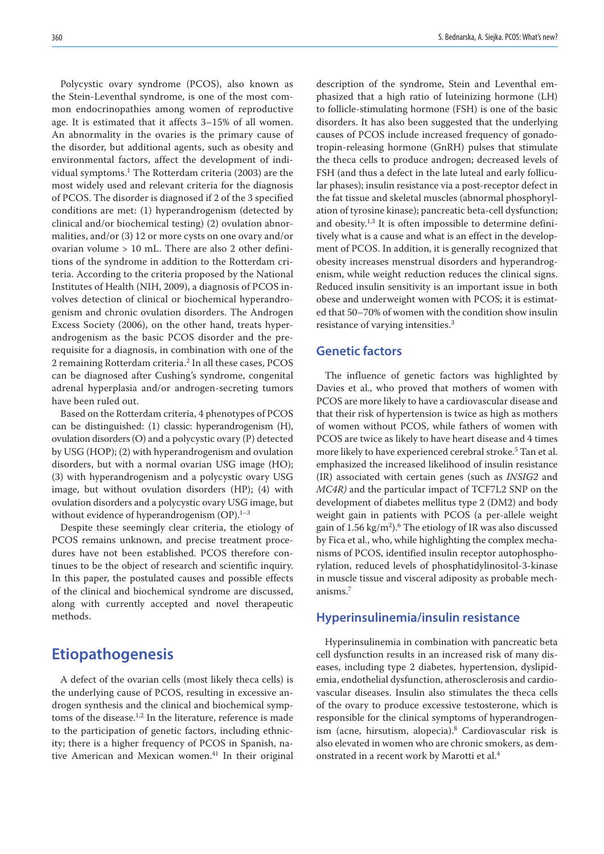Polycystic ovary syndrome (PCOS), also known as the Stein-Leventhal syndrome, is one of the most common endocrinopathies among women of reproductive age. It is estimated that it affects 3–15% of all women. An abnormality in the ovaries is the primary cause of the disorder, but additional agents, such as obesity and environmental factors, affect the development of individual symptoms.1 The Rotterdam criteria (2003) are the most widely used and relevant criteria for the diagnosis of PCOS. The disorder is diagnosed if 2 of the 3 specified conditions are met: (1) hyperandrogenism (detected by clinical and/or biochemical testing) (2) ovulation abnormalities, and/or (3) 12 or more cysts on one ovary and/or ovarian volume > 10 mL. There are also 2 other definitions of the syndrome in addition to the Rotterdam criteria. According to the criteria proposed by the National Institutes of Health (NIH, 2009), a diagnosis of PCOS involves detection of clinical or biochemical hyperandrogenism and chronic ovulation disorders. The Androgen Excess Society (2006), on the other hand, treats hyperandrogenism as the basic PCOS disorder and the prerequisite for a diagnosis, in combination with one of the 2 remaining Rotterdam criteria.2 In all these cases, PCOS can be diagnosed after Cushing's syndrome, congenital adrenal hyperplasia and/or androgen-secreting tumors have been ruled out.

Based on the Rotterdam criteria, 4 phenotypes of PCOS can be distinguished: (1) classic: hyperandrogenism (H), ovulation disorders (O) and a polycystic ovary (P) detected by USG (HOP); (2) with hyperandrogenism and ovulation disorders, but with a normal ovarian USG image (HO); (3) with hyperandrogenism and a polycystic ovary USG image, but without ovulation disorders (HP); (4) with ovulation disorders and a polycystic ovary USG image, but without evidence of hyperandrogenism  $(OP).<sup>1-3</sup>$ 

Despite these seemingly clear criteria, the etiology of PCOS remains unknown, and precise treatment procedures have not been established. PCOS therefore continues to be the object of research and scientific inquiry. In this paper, the postulated causes and possible effects of the clinical and biochemical syndrome are discussed, along with currently accepted and novel therapeutic methods.

# **Etiopathogenesis**

A defect of the ovarian cells (most likely theca cells) is the underlying cause of PCOS, resulting in excessive androgen synthesis and the clinical and biochemical symptoms of the disease.<sup>1,2</sup> In the literature, reference is made to the participation of genetic factors, including ethnicity; there is a higher frequency of PCOS in Spanish, native American and Mexican women.<sup>41</sup> In their original description of the syndrome, Stein and Leventhal emphasized that a high ratio of luteinizing hormone (LH) to follicle-stimulating hormone (FSH) is one of the basic disorders. It has also been suggested that the underlying causes of PCOS include increased frequency of gonadotropin-releasing hormone (GnRH) pulses that stimulate the theca cells to produce androgen; decreased levels of FSH (and thus a defect in the late luteal and early follicular phases); insulin resistance via a post-receptor defect in the fat tissue and skeletal muscles (abnormal phosphorylation of tyrosine kinase); pancreatic beta-cell dysfunction; and obesity.<sup>1,3</sup> It is often impossible to determine definitively what is a cause and what is an effect in the development of PCOS. In addition, it is generally recognized that obesity increases menstrual disorders and hyperandrogenism, while weight reduction reduces the clinical signs. Reduced insulin sensitivity is an important issue in both obese and underweight women with PCOS; it is estimated that 50–70% of women with the condition show insulin resistance of varying intensities.3

### **Genetic factors**

The influence of genetic factors was highlighted by Davies et al., who proved that mothers of women with PCOS are more likely to have a cardiovascular disease and that their risk of hypertension is twice as high as mothers of women without PCOS, while fathers of women with PCOS are twice as likely to have heart disease and 4 times more likely to have experienced cerebral stroke.<sup>5</sup> Tan et al. emphasized the increased likelihood of insulin resistance (IR) associated with certain genes (such as *INSIG2* and *MC4R)* and the particular impact of TCF7L2 SNP on the development of diabetes mellitus type 2 (DM2) and body weight gain in patients with PCOS (a per-allele weight gain of  $1.56 \text{ kg/m}^2$ .<sup>6</sup> The etiology of IR was also discussed by Fica et al., who, while highlighting the complex mechanisms of PCOS, identified insulin receptor autophosphorylation, reduced levels of phosphatidylinositol-3-kinase in muscle tissue and visceral adiposity as probable mechanisms.7

### **Hyperinsulinemia/insulin resistance**

Hyperinsulinemia in combination with pancreatic beta cell dysfunction results in an increased risk of many diseases, including type 2 diabetes, hypertension, dyslipidemia, endothelial dysfunction, atherosclerosis and cardiovascular diseases. Insulin also stimulates the theca cells of the ovary to produce excessive testosterone, which is responsible for the clinical symptoms of hyperandrogenism (acne, hirsutism, alopecia).8 Cardiovascular risk is also elevated in women who are chronic smokers, as demonstrated in a recent work by Marotti et al.4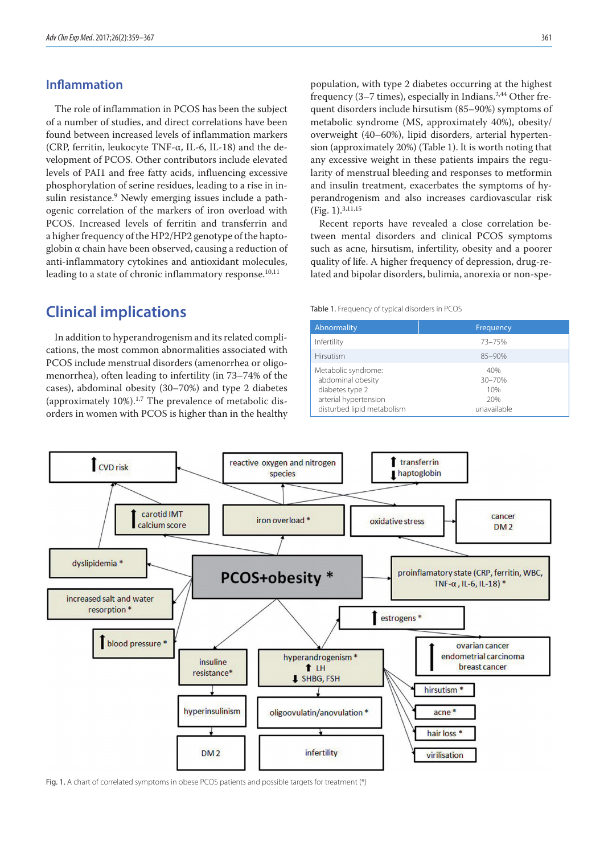### **Inflammation**

The role of inflammation in PCOS has been the subject of a number of studies, and direct correlations have been found between increased levels of inflammation markers (CRP, ferritin, leukocyte TNF-α, IL-6, IL-18) and the development of PCOS. Other contributors include elevated levels of PAI1 and free fatty acids, influencing excessive phosphorylation of serine residues, leading to a rise in insulin resistance.<sup>9</sup> Newly emerging issues include a pathogenic correlation of the markers of iron overload with PCOS. Increased levels of ferritin and transferrin and a higher frequency of the HP2/HP2 genotype of the haptoglobin α chain have been observed, causing a reduction of anti-inflammatory cytokines and antioxidant molecules, leading to a state of chronic inflammatory response.<sup>10,11</sup>

# **Clinical implications**

In addition to hyperandrogenism and its related complications, the most common abnormalities associated with PCOS include menstrual disorders (amenorrhea or oligomenorrhea), often leading to infertility (in 73–74% of the cases), abdominal obesity (30–70%) and type 2 diabetes (approximately  $10\%$ ).<sup>1,7</sup> The prevalence of metabolic disorders in women with PCOS is higher than in the healthy population, with type 2 diabetes occurring at the highest frequency  $(3-7 \times)$ , especially in Indians.<sup>2,44</sup> Other frequent disorders include hirsutism (85–90%) symptoms of metabolic syndrome (MS, approximately 40%), obesity/ overweight (40–60%), lipid disorders, arterial hypertension (approximately 20%) (Table 1). It is worth noting that any excessive weight in these patients impairs the regularity of menstrual bleeding and responses to metformin and insulin treatment, exacerbates the symptoms of hyperandrogenism and also increases cardiovascular risk (Fig. 1).3,11,15

Recent reports have revealed a close correlation between mental disorders and clinical PCOS symptoms such as acne, hirsutism, infertility, obesity and a poorer quality of life. A higher frequency of depression, drug-related and bipolar disorders, bulimia, anorexia or non-spe-

#### Table 1. Frequency of typical disorders in PCOS

| Abnormality                                                                                                        | Frequency                                  |
|--------------------------------------------------------------------------------------------------------------------|--------------------------------------------|
| Infertility                                                                                                        | 73-75%                                     |
| <b>Hirsutism</b>                                                                                                   | $85 - 90%$                                 |
| Metabolic syndrome:<br>abdominal obesity<br>diabetes type 2<br>arterial hypertension<br>disturbed lipid metabolism | 40%<br>30-70%<br>10%<br>20%<br>unavailable |



Fig. 1. A chart of correlated symptoms in obese PCOS patients and possible targets for treatment (\*)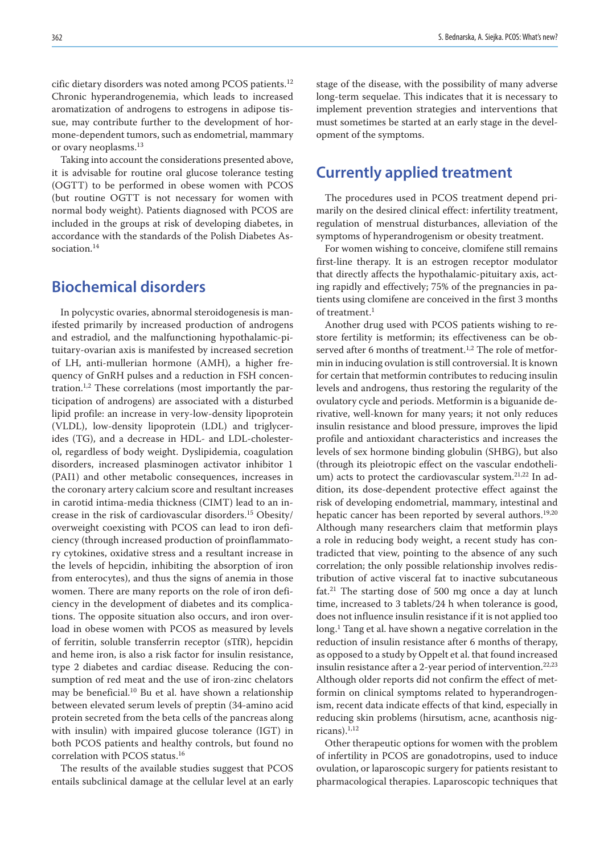cific dietary disorders was noted among PCOS patients.12 Chronic hyperandrogenemia, which leads to increased aromatization of androgens to estrogens in adipose tissue, may contribute further to the development of hormone-dependent tumors, such as endometrial, mammary or ovary neoplasms.13

Taking into account the considerations presented above, it is advisable for routine oral glucose tolerance testing (OGTT) to be performed in obese women with PCOS (but routine OGTT is not necessary for women with normal body weight). Patients diagnosed with PCOS are included in the groups at risk of developing diabetes, in accordance with the standards of the Polish Diabetes Association.14

# **Biochemical disorders**

In polycystic ovaries, abnormal steroidogenesis is manifested primarily by increased production of androgens and estradiol, and the malfunctioning hypothalamic-pituitary-ovarian axis is manifested by increased secretion of LH, anti-mullerian hormone (AMH), a higher frequency of GnRH pulses and a reduction in FSH concentration.1,2 These correlations (most importantly the participation of androgens) are associated with a disturbed lipid profile: an increase in very-low-density lipoprotein (VLDL), low-density lipoprotein (LDL) and triglycerides (TG), and a decrease in HDL- and LDL-cholesterol, regardless of body weight. Dyslipidemia, coagulation disorders, increased plasminogen activator inhibitor 1 (PAI1) and other metabolic consequences, increases in the coronary artery calcium score and resultant increases in carotid intima-media thickness (CIMT) lead to an increase in the risk of cardiovascular disorders.15 Obesity/ overweight coexisting with PCOS can lead to iron deficiency (through increased production of proinflammatory cytokines, oxidative stress and a resultant increase in the levels of hepcidin, inhibiting the absorption of iron from enterocytes), and thus the signs of anemia in those women. There are many reports on the role of iron deficiency in the development of diabetes and its complications. The opposite situation also occurs, and iron overload in obese women with PCOS as measured by levels of ferritin, soluble transferrin receptor (sTfR), hepcidin and heme iron, is also a risk factor for insulin resistance, type 2 diabetes and cardiac disease. Reducing the consumption of red meat and the use of iron-zinc chelators may be beneficial.10 Bu et al. have shown a relationship between elevated serum levels of preptin (34-amino acid protein secreted from the beta cells of the pancreas along with insulin) with impaired glucose tolerance (IGT) in both PCOS patients and healthy controls, but found no correlation with PCOS status.<sup>16</sup>

The results of the available studies suggest that PCOS entails subclinical damage at the cellular level at an early

stage of the disease, with the possibility of many adverse long-term sequelae. This indicates that it is necessary to implement prevention strategies and interventions that must sometimes be started at an early stage in the development of the symptoms.

# **Currently applied treatment**

The procedures used in PCOS treatment depend primarily on the desired clinical effect: infertility treatment, regulation of menstrual disturbances, alleviation of the symptoms of hyperandrogenism or obesity treatment.

For women wishing to conceive, clomifene still remains first-line therapy. It is an estrogen receptor modulator that directly affects the hypothalamic-pituitary axis, acting rapidly and effectively; 75% of the pregnancies in patients using clomifene are conceived in the first 3 months of treatment.<sup>1</sup>

Another drug used with PCOS patients wishing to restore fertility is metformin; its effectiveness can be observed after 6 months of treatment.<sup>1,2</sup> The role of metformin in inducing ovulation is still controversial. It is known for certain that metformin contributes to reducing insulin levels and androgens, thus restoring the regularity of the ovulatory cycle and periods. Metformin is a biguanide derivative, well-known for many years; it not only reduces insulin resistance and blood pressure, improves the lipid profile and antioxidant characteristics and increases the levels of sex hormone binding globulin (SHBG), but also (through its pleiotropic effect on the vascular endothelium) acts to protect the cardiovascular system.<sup>21,22</sup> In addition, its dose-dependent protective effect against the risk of developing endometrial, mammary, intestinal and hepatic cancer has been reported by several authors.<sup>19,20</sup> Although many researchers claim that metformin plays a role in reducing body weight, a recent study has contradicted that view, pointing to the absence of any such correlation; the only possible relationship involves redistribution of active visceral fat to inactive subcutaneous fat.21 The starting dose of 500 mg once a day at lunch time, increased to 3 tablets/24 h when tolerance is good, does not influence insulin resistance if it is not applied too long.<sup>1</sup> Tang et al. have shown a negative correlation in the reduction of insulin resistance after 6 months of therapy, as opposed to a study by Oppelt et al. that found increased insulin resistance after a 2-year period of intervention.<sup>22,23</sup> Although older reports did not confirm the effect of metformin on clinical symptoms related to hyperandrogenism, recent data indicate effects of that kind, especially in reducing skin problems (hirsutism, acne, acanthosis nig $ricans).<sup>1,12</sup>$ 

Other therapeutic options for women with the problem of infertility in PCOS are gonadotropins, used to induce ovulation, or laparoscopic surgery for patients resistant to pharmacological therapies. Laparoscopic techniques that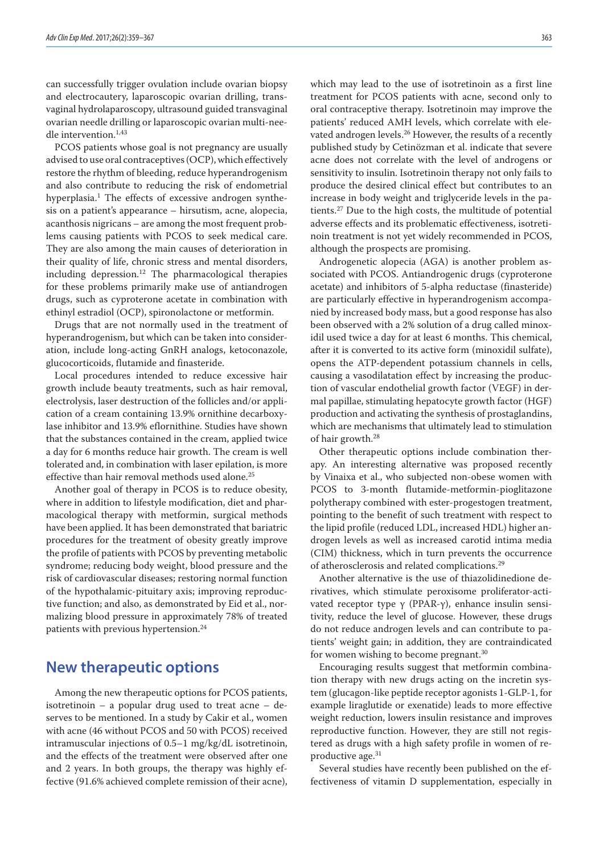can successfully trigger ovulation include ovarian biopsy and electrocautery, laparoscopic ovarian drilling, transvaginal hydrolaparoscopy, ultrasound guided transvaginal ovarian needle drilling or laparoscopic ovarian multi-needle intervention.1,43

PCOS patients whose goal is not pregnancy are usually advised to use oral contraceptives (OCP), which effectively restore the rhythm of bleeding, reduce hyperandrogenism and also contribute to reducing the risk of endometrial hyperplasia.<sup>1</sup> The effects of excessive androgen synthesis on a patient's appearance – hirsutism, acne, alopecia, acanthosis nigricans – are among the most frequent problems causing patients with PCOS to seek medical care. They are also among the main causes of deterioration in their quality of life, chronic stress and mental disorders, including depression.<sup>12</sup> The pharmacological therapies for these problems primarily make use of antiandrogen drugs, such as cyproterone acetate in combination with ethinyl estradiol (OCP), spironolactone or metformin.

Drugs that are not normally used in the treatment of hyperandrogenism, but which can be taken into consideration, include long-acting GnRH analogs, ketoconazole, glucocorticoids, flutamide and finasteride.

Local procedures intended to reduce excessive hair growth include beauty treatments, such as hair removal, electrolysis, laser destruction of the follicles and/or application of a cream containing 13.9% ornithine decarboxylase inhibitor and 13.9% eflornithine. Studies have shown that the substances contained in the cream, applied twice a day for 6 months reduce hair growth. The cream is well tolerated and, in combination with laser epilation, is more effective than hair removal methods used alone.<sup>25</sup>

Another goal of therapy in PCOS is to reduce obesity, where in addition to lifestyle modification, diet and pharmacological therapy with metformin, surgical methods have been applied. It has been demonstrated that bariatric procedures for the treatment of obesity greatly improve the profile of patients with PCOS by preventing metabolic syndrome; reducing body weight, blood pressure and the risk of cardiovascular diseases; restoring normal function of the hypothalamic-pituitary axis; improving reproductive function; and also, as demonstrated by Eid et al., normalizing blood pressure in approximately 78% of treated patients with previous hypertension.24

# **New therapeutic options**

Among the new therapeutic options for PCOS patients, isotretinoin – a popular drug used to treat acne – deserves to be mentioned. In a study by Cakir et al., women with acne (46 without PCOS and 50 with PCOS) received intramuscular injections of 0.5–1 mg/kg/dL isotretinoin, and the effects of the treatment were observed after one and 2 years. In both groups, the therapy was highly effective (91.6% achieved complete remission of their acne), which may lead to the use of isotretinoin as a first line treatment for PCOS patients with acne, second only to oral contraceptive therapy. Isotretinoin may improve the patients' reduced AMH levels, which correlate with elevated androgen levels.<sup>26</sup> However, the results of a recently published study by Cetinözman et al. indicate that severe acne does not correlate with the level of androgens or sensitivity to insulin. Isotretinoin therapy not only fails to produce the desired clinical effect but contributes to an increase in body weight and triglyceride levels in the patients.27 Due to the high costs, the multitude of potential adverse effects and its problematic effectiveness, isotretinoin treatment is not yet widely recommended in PCOS, although the prospects are promising.

Androgenetic alopecia (AGA) is another problem associated with PCOS. Antiandrogenic drugs (cyproterone acetate) and inhibitors of 5-alpha reductase (finasteride) are particularly effective in hyperandrogenism accompanied by increased body mass, but a good response has also been observed with a 2% solution of a drug called minoxidil used twice a day for at least 6 months. This chemical, after it is converted to its active form (minoxidil sulfate), opens the ATP-dependent potassium channels in cells, causing a vasodilatation effect by increasing the production of vascular endothelial growth factor (VEGF) in dermal papillae, stimulating hepatocyte growth factor (HGF) production and activating the synthesis of prostaglandins, which are mechanisms that ultimately lead to stimulation of hair growth.<sup>28</sup>

Other therapeutic options include combination therapy. An interesting alternative was proposed recently by Vinaixa et al., who subjected non-obese women with PCOS to 3-month flutamide-metformin-pioglitazone polytherapy combined with ester-progestogen treatment, pointing to the benefit of such treatment with respect to the lipid profile (reduced LDL, increased HDL) higher androgen levels as well as increased carotid intima media (CIM) thickness, which in turn prevents the occurrence of atherosclerosis and related complications.29

Another alternative is the use of thiazolidinedione derivatives, which stimulate peroxisome proliferator-activated receptor type γ (PPAR-γ), enhance insulin sensitivity, reduce the level of glucose. However, these drugs do not reduce androgen levels and can contribute to patients' weight gain; in addition, they are contraindicated for women wishing to become pregnant.30

Encouraging results suggest that metformin combination therapy with new drugs acting on the incretin system (glucagon-like peptide receptor agonists 1-GLP-1, for example liraglutide or exenatide) leads to more effective weight reduction, lowers insulin resistance and improves reproductive function. However, they are still not registered as drugs with a high safety profile in women of reproductive age.<sup>31</sup>

Several studies have recently been published on the effectiveness of vitamin D supplementation, especially in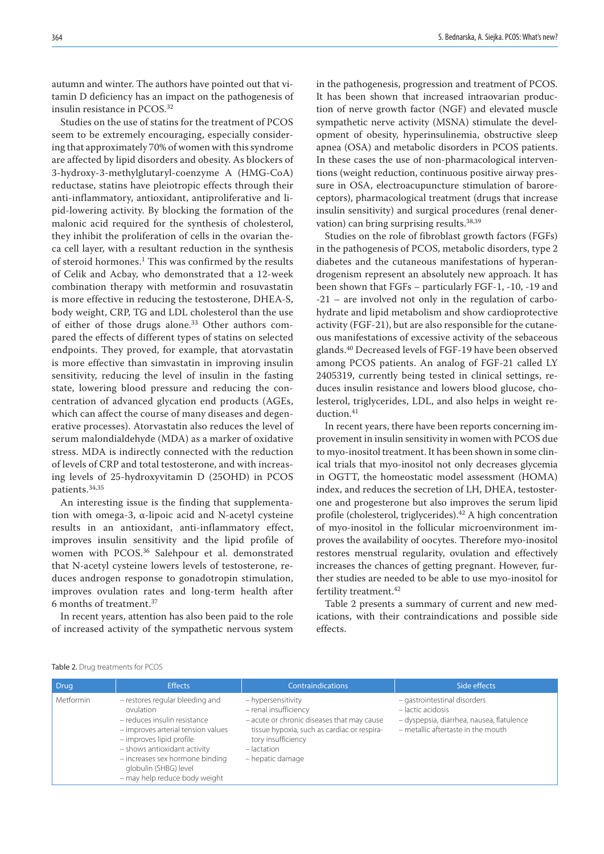autumn and winter. The authors have pointed out that vitamin D deficiency has an impact on the pathogenesis of insulin resistance in PCOS.32

Studies on the use of statins for the treatment of PCOS seem to be extremely encouraging, especially considering that approximately 70% of women with this syndrome are affected by lipid disorders and obesity. As blockers of 3-hydroxy-3-methylglutaryl-coenzyme A (HMG-CoA) reductase, statins have pleiotropic effects through their anti-inflammatory, antioxidant, antiproliferative and lipid-lowering activity. By blocking the formation of the malonic acid required for the synthesis of cholesterol, they inhibit the proliferation of cells in the ovarian theca cell layer, with a resultant reduction in the synthesis of steroid hormones.<sup>1</sup> This was confirmed by the results of Celik and Acbay, who demonstrated that a 12-week combination therapy with metformin and rosuvastatin is more effective in reducing the testosterone, DHEA-S, body weight, CRP, TG and LDL cholesterol than the use of either of those drugs alone.<sup>33</sup> Other authors compared the effects of different types of statins on selected endpoints. They proved, for example, that atorvastatin is more effective than simvastatin in improving insulin sensitivity, reducing the level of insulin in the fasting state, lowering blood pressure and reducing the concentration of advanced glycation end products (AGEs, which can affect the course of many diseases and degenerative processes). Atorvastatin also reduces the level of serum malondialdehyde (MDA) as a marker of oxidative stress. MDA is indirectly connected with the reduction of levels of CRP and total testosterone, and with increasing levels of 25-hydroxyvitamin D (25OHD) in PCOS patients.34,35

An interesting issue is the finding that supplementation with omega-3, α-lipoic acid and N-acetyl cysteine results in an antioxidant, anti-inflammatory effect, improves insulin sensitivity and the lipid profile of women with PCOS.36 Salehpour et al. demonstrated that N-acetyl cysteine lowers levels of testosterone, reduces androgen response to gonadotropin stimulation, improves ovulation rates and long-term health after 6 months of treatment.<sup>37</sup>

In recent years, attention has also been paid to the role of increased activity of the sympathetic nervous system in the pathogenesis, progression and treatment of PCOS. It has been shown that increased intraovarian production of nerve growth factor (NGF) and elevated muscle sympathetic nerve activity (MSNA) stimulate the development of obesity, hyperinsulinemia, obstructive sleep apnea (OSA) and metabolic disorders in PCOS patients. In these cases the use of non-pharmacological interventions (weight reduction, continuous positive airway pressure in OSA, electroacupuncture stimulation of baroreceptors), pharmacological treatment (drugs that increase insulin sensitivity) and surgical procedures (renal denervation) can bring surprising results.38,39

Studies on the role of fibroblast growth factors (FGFs) in the pathogenesis of PCOS, metabolic disorders, type 2 diabetes and the cutaneous manifestations of hyperandrogenism represent an absolutely new approach. It has been shown that FGFs – particularly FGF-1, -10, -19 and -21 – are involved not only in the regulation of carbohydrate and lipid metabolism and show cardioprotective activity (FGF-21), but are also responsible for the cutaneous manifestations of excessive activity of the sebaceous glands.<sup>40</sup> Decreased levels of FGF-19 have been observed among PCOS patients. An analog of FGF-21 called LY 2405319, currently being tested in clinical settings, reduces insulin resistance and lowers blood glucose, cholesterol, triglycerides, LDL, and also helps in weight reduction.<sup>41</sup>

In recent years, there have been reports concerning improvement in insulin sensitivity in women with PCOS due to myo-inositol treatment. It has been shown in some clinical trials that myo-inositol not only decreases glycemia in OGTT, the homeostatic model assessment (HOMA) index, and reduces the secretion of LH, DHEA, testosterone and progesterone but also improves the serum lipid profile (cholesterol, triglycerides).<sup>42</sup> A high concentration of myo-inositol in the follicular microenvironment improves the availability of oocytes. Therefore myo-inositol restores menstrual regularity, ovulation and effectively increases the chances of getting pregnant. However, further studies are needed to be able to use myo-inositol for fertility treatment.<sup>42</sup>

Table 2 presents a summary of current and new medications, with their contraindications and possible side effects.

|  |  | Table 2. Drug treatments for PCOS |  |
|--|--|-----------------------------------|--|
|--|--|-----------------------------------|--|

| <b>Drug</b>      | <b>Effects</b>                                                                                                                                                                                                                                                              | <b>Contraindications</b>                                                                                                                                                                            | Side effects                                                                                                                         |
|------------------|-----------------------------------------------------------------------------------------------------------------------------------------------------------------------------------------------------------------------------------------------------------------------------|-----------------------------------------------------------------------------------------------------------------------------------------------------------------------------------------------------|--------------------------------------------------------------------------------------------------------------------------------------|
| <b>Metformin</b> | - restores regular bleeding and<br>ovulation<br>- reduces insulin resistance<br>- improves arterial tension values<br>- improves lipid profile<br>- shows antioxidant activity<br>- increases sex hormone binding<br>globulin (SHBG) level<br>- may help reduce body weight | - hypersensitivity<br>- renal insufficiency<br>- acute or chronic diseases that may cause<br>tissue hypoxia, such as cardiac or respira-<br>tory insufficiency<br>$-$ lactation<br>- hepatic damage | - gastrointestinal disorders<br>- lactic acidosis<br>- dyspepsia, diarrhea, nausea, flatulence<br>- metallic aftertaste in the mouth |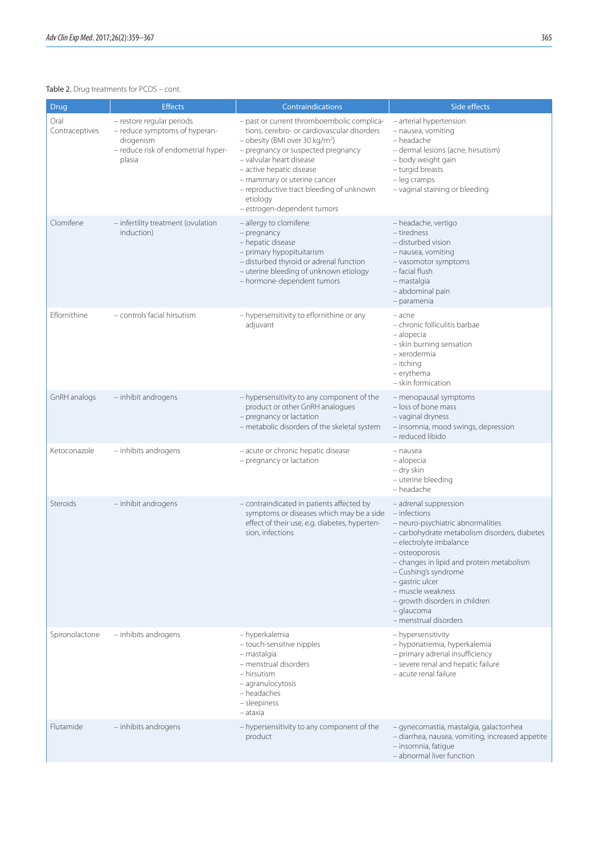### Table 2. Drug treatments for PCOS - cont.

| Drug                   | <b>Effects</b>                                                                                                           | Contraindications                                                                                                                                                                                                                                                                                                                                           | Side effects                                                                                                                                                                                                                                                                                                                                                   |
|------------------------|--------------------------------------------------------------------------------------------------------------------------|-------------------------------------------------------------------------------------------------------------------------------------------------------------------------------------------------------------------------------------------------------------------------------------------------------------------------------------------------------------|----------------------------------------------------------------------------------------------------------------------------------------------------------------------------------------------------------------------------------------------------------------------------------------------------------------------------------------------------------------|
| Oral<br>Contraceptives | - restore regular periods<br>- reduce symptoms of hyperan-<br>drogenism<br>- reduce risk of endometrial hyper-<br>plasia | - past or current thromboembolic complica-<br>tions, cerebro- or cardiovascular disorders<br>- obesity (BMI over 30 kg/m <sup>2</sup> )<br>- pregnancy or suspected pregnancy<br>- valvular heart disease<br>- active hepatic disease<br>- mammary or uterine cancer<br>- reproductive tract bleeding of unknown<br>etiology<br>- estrogen-dependent tumors | - arterial hypertension<br>- nausea, vomiting<br>- headache<br>- dermal lesions (acne, hirsutism)<br>- body weight gain<br>- turgid breasts<br>- leg cramps<br>- vaginal staining or bleeding                                                                                                                                                                  |
| Clomifene              | - infertility treatment (ovulation<br>induction)                                                                         | - allergy to clomifene<br>- pregnancy<br>- hepatic disease<br>- primary hypopituitarism<br>- disturbed thyroid or adrenal function<br>- uterine bleeding of unknown etiology<br>- hormone-dependent tumors                                                                                                                                                  | – headache, vertigo<br>- tiredness<br>- disturbed vision<br>- nausea, vomiting<br>- vasomotor symptoms<br>- facial flush<br>- mastalgia<br>- abdominal pain<br>- paramenia                                                                                                                                                                                     |
| Eflornithine           | - controls facial hirsutism                                                                                              | - hypersensitivity to eflornithine or any<br>adjuvant                                                                                                                                                                                                                                                                                                       | - acne<br>- chronic folliculitis barbae<br>- alopecia<br>- skin burning sensation<br>- xerodermia<br>- itching<br>- erythema<br>- skin formication                                                                                                                                                                                                             |
| GnRH analogs           | - inhibit androgens                                                                                                      | - hypersensitivity to any component of the<br>product or other GnRH analogues<br>- pregnancy or lactation<br>- metabolic disorders of the skeletal system                                                                                                                                                                                                   | - menopausal symptoms<br>- loss of bone mass<br>- vaginal dryness<br>- insomnia, mood swings, depression<br>- reduced libido                                                                                                                                                                                                                                   |
| Ketoconazole           | - inhibits androgens                                                                                                     | - acute or chronic hepatic disease<br>- pregnancy or lactation                                                                                                                                                                                                                                                                                              | - nausea<br>– alopecia<br>- dry skin<br>- uterine bleeding<br>- headache                                                                                                                                                                                                                                                                                       |
| Steroids               | - inhibit androgens                                                                                                      | - contraindicated in patients affected by<br>symptoms or diseases which may be a side<br>effect of their use, e.g. diabetes, hyperten-<br>sion, infections                                                                                                                                                                                                  | - adrenal suppression<br>- infections<br>- neuro-psychiatric abnormalities<br>- carbohydrate metabolism disorders, diabetes<br>- electrolyte imbalance<br>- osteoporosis<br>- changes in lipid and protein metabolism<br>- Cushing's syndrome<br>- gastric ulcer<br>- muscle weakness<br>- growth disorders in children<br>- glaucoma<br>- menstrual disorders |
| Spironolactone         | - inhibits androgens                                                                                                     | - hyperkalemia<br>- touch-sensitive nipples<br>- mastalgia<br>- menstrual disorders<br>- hirsutism<br>- agranulocytosis<br>- headaches<br>- sleepiness<br>– ataxia                                                                                                                                                                                          | - hypersensitivity<br>- hyponatremia, hyperkalemia<br>- primary adrenal insufficiency<br>- severe renal and hepatic failure<br>- acute renal failure                                                                                                                                                                                                           |
| Flutamide              | - inhibits androgens                                                                                                     | - hypersensitivity to any component of the<br>product                                                                                                                                                                                                                                                                                                       | - gynecomastia, mastalgia, galactorrhea<br>- diarrhea, nausea, vomiting, increased appetite<br>- insomnia, fatique<br>- abnormal liver function                                                                                                                                                                                                                |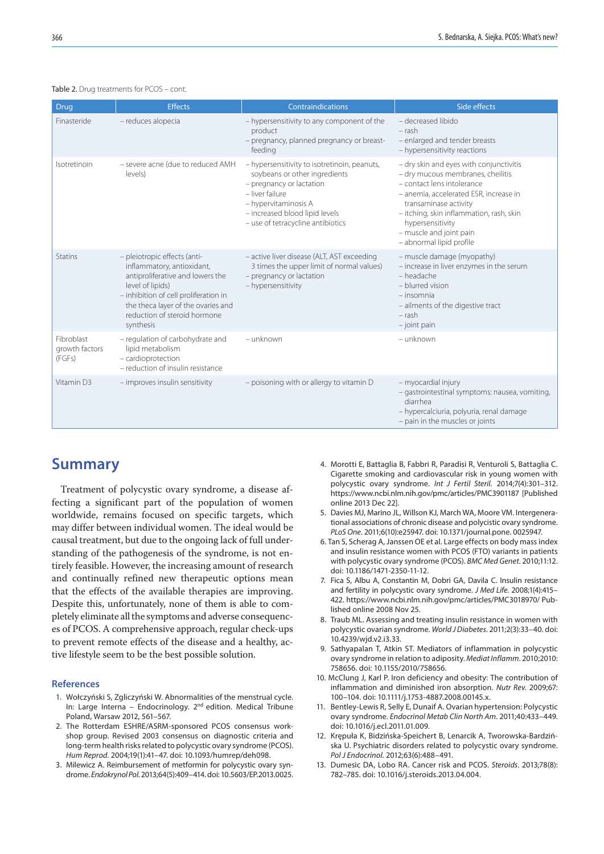#### Table 2. Drug treatments for PCOS - cont.

| Drug                                   | <b>Effects</b>                                                                                                                                                                                                                                 | Contraindications                                                                                                                                                                                                           | Side effects                                                                                                                                                                                                                                                                                         |
|----------------------------------------|------------------------------------------------------------------------------------------------------------------------------------------------------------------------------------------------------------------------------------------------|-----------------------------------------------------------------------------------------------------------------------------------------------------------------------------------------------------------------------------|------------------------------------------------------------------------------------------------------------------------------------------------------------------------------------------------------------------------------------------------------------------------------------------------------|
| Finasteride                            | - reduces alopecia                                                                                                                                                                                                                             | - hypersensitivity to any component of the<br>product<br>- pregnancy, planned pregnancy or breast-<br>feeding                                                                                                               | - decreased libido<br>$-$ rash<br>- enlarged and tender breasts<br>- hypersensitivity reactions                                                                                                                                                                                                      |
| Isotretinoin                           | - severe acne (due to reduced AMH<br>levels)                                                                                                                                                                                                   | - hypersensitivity to isotretinoin, peanuts,<br>soybeans or other ingredients<br>- pregnancy or lactation<br>- liver failure<br>- hypervitaminosis A<br>- increased blood lipid levels<br>- use of tetracycline antibiotics | - dry skin and eyes with conjunctivitis<br>- dry mucous membranes, cheilitis<br>- contact lens intolerance<br>- anemia, accelerated ESR, increase in<br>transaminase activity<br>- itching, skin inflammation, rash, skin<br>hypersensitivity<br>- muscle and joint pain<br>- abnormal lipid profile |
| <b>Statins</b>                         | - pleiotropic effects (anti-<br>inflammatory, antioxidant,<br>antiproliferative and lowers the<br>level of lipids)<br>- inhibition of cell proliferation in<br>the theca layer of the ovaries and<br>reduction of steroid hormone<br>synthesis | - active liver disease (ALT, AST exceeding<br>3 times the upper limit of normal values)<br>- pregnancy or lactation<br>- hypersensitivity                                                                                   | - muscle damage (myopathy)<br>- increase in liver enzymes in the serum<br>- headache<br>- blurred vision<br>$-$ insomnia<br>- ailments of the digestive tract<br>$-$ rash<br>$-$ joint pain                                                                                                          |
| Fibroblast<br>growth factors<br>(FGFs) | - regulation of carbohydrate and<br>lipid metabolism<br>- cardioprotection<br>- reduction of insulin resistance                                                                                                                                | - unknown                                                                                                                                                                                                                   | - unknown                                                                                                                                                                                                                                                                                            |
| Vitamin D3                             | - improves insulin sensitivity                                                                                                                                                                                                                 | - poisoning with or allergy to vitamin D                                                                                                                                                                                    | - myocardial injury<br>- gastrointestinal symptoms: nausea, vomiting,<br>diarrhea<br>- hypercalciuria, polyuria, renal damage<br>- pain in the muscles or joints                                                                                                                                     |

### **Summary**

Treatment of polycystic ovary syndrome, a disease affecting a significant part of the population of women worldwide, remains focused on specific targets, which may differ between individual women. The ideal would be causal treatment, but due to the ongoing lack of full understanding of the pathogenesis of the syndrome, is not entirely feasible. However, the increasing amount of research and continually refined new therapeutic options mean that the effects of the available therapies are improving. Despite this, unfortunately, none of them is able to completely eliminate all the symptoms and adverse consequences of PCOS. A comprehensive approach, regular check-ups to prevent remote effects of the disease and a healthy, active lifestyle seem to be the best possible solution.

#### **References**

- 1. Wołczyński S, Zgliczyński W. Abnormalities of the menstrual cycle. In: Large Interna – Endocrinology. 2nd edition. Medical Tribune Poland, Warsaw 2012, 561–567.
- 2. The Rotterdam ESHRE/ASRM-sponsored PCOS consensus workshop group. Revised 2003 consensus on diagnostic criteria and long-term health risks related to polycystic ovary syndrome (PCOS). *Hum Reprod*. 2004;19(1):41–47. doi: 10.1093/humrep/deh098.
- 3. Milewicz A. Reimbursement of metformin for polycystic ovary syndrome. *Endokrynol Pol*. 2013;64(5):409–414. doi: 10.5603/EP.2013.0025.
- 4. Morotti E, Battaglia B, Fabbri R, Paradisi R, Venturoli S, Battaglia C. Cigarette smoking and cardiovascular risk in young women with polycystic ovary syndrome. *Int J Fertil Steril.* 2014;7(4):301–312. https://www.ncbi.nlm.nih.gov/pmc/articles/PMC3901187 [Published online 2013 Dec 22].
- 5. Davies MJ, Marino JL, Willson KJ, March WA, Moore VM. Intergenerational associations of chronic disease and polycistic ovary syndrome. *PLoS One*. 2011;6(10):e25947. doi: 10.1371/journal.pone. 0025947.
- 6. Tan S, Scherag A, Janssen OE et al. Large effects on body mass index and insulin resistance women with PCOS (FTO) variants in patients with polycystic ovary syndrome (PCOS). *BMC Med Genet*. 2010;11:12. doi: 10.1186/1471-2350-11-12.
- 7. Fica S, Albu A, Constantin M, Dobri GA, Davila C. Insulin resistance and fertility in polycystic ovary syndrome. *J Med Life*. 2008;1(4):415– 422. https://www.ncbi.nlm.nih.gov/pmc/articles/PMC3018970/ Published online 2008 Nov 25.
- 8. Traub ML. Assessing and treating insulin resistance in women with polycystic ovarian syndrome. *World J Diabetes*. 2011;2(3):33–40. doi: 10.4239/wjd.v2.i3.33.
- 9. Sathyapalan T, Atkin ST. Mediators of inflammation in polycystic ovary syndrome in relation to adiposity. *Mediat Inflamm*. 2010;2010: 758656. doi: 10.1155/2010/758656.
- 10. McClung J, Karl P. Iron deficiency and obesity: The contribution of inflammation and diminished iron absorption. *Nutr Rev*. 2009;67: 100–104. doi: 10.1111/j.1753-4887.2008.00145.x.
- 11. Bentley-Lewis R, Selly E, Dunaif A. Ovarian hypertension: Polycystic ovary syndrome. *Endocrinol Metab Clin North Am*. 2011;40:433–449. doi: 10.1016/j.ecl.2011.01.009.
- 12. Krępuła K, Bidzińska-Speichert B, Lenarcik A, Tworowska-Bardzińska U. Psychiatric disorders related to polycystic ovary syndrome. *Pol J Endocrinol*. 2012;63(6):488–491.
- 13. Dumesic DA, Lobo RA. Cancer risk and PCOS. *Steroids*. 2013;78(8): 782–785. doi: 10.1016/j.steroids.2013.04.004.